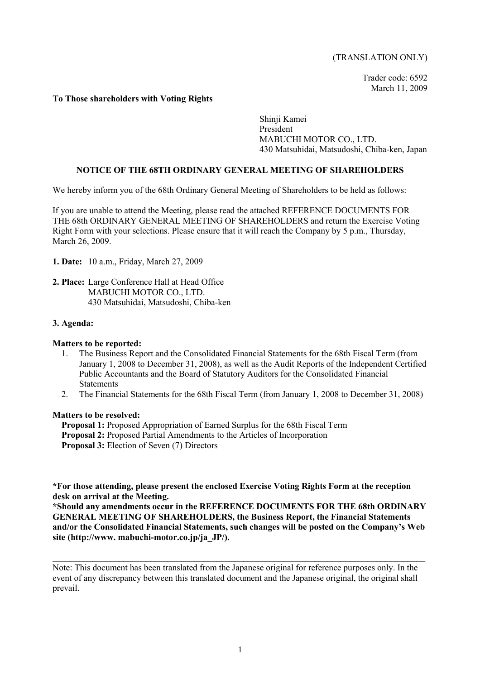## (TRANSLATION ONLY)

Trader code: 6592 March 11, 2009

## **To Those shareholders with Voting Rights**

Shinji Kamei President MABUCHI MOTOR CO., LTD. 430 Matsuhidai, Matsudoshi, Chiba-ken, Japan

## **NOTICE OF THE 68TH ORDINARY GENERAL MEETING OF SHAREHOLDERS**

We hereby inform you of the 68th Ordinary General Meeting of Shareholders to be held as follows:

If you are unable to attend the Meeting, please read the attached REFERENCE DOCUMENTS FOR THE 68th ORDINARY GENERAL MEETING OF SHAREHOLDERS and return the Exercise Voting Right Form with your selections. Please ensure that it will reach the Company by 5 p.m., Thursday, March 26, 2009.

- **1. Date:** 10 a.m., Friday, March 27, 2009
- **2. Place:** Large Conference Hall at Head Office MABUCHI MOTOR CO., LTD. 430 Matsuhidai, Matsudoshi, Chiba-ken

## **3. Agenda:**

#### **Matters to be reported:**

- 1. The Business Report and the Consolidated Financial Statements for the 68th Fiscal Term (from January 1, 2008 to December 31, 2008), as well as the Audit Reports of the Independent Certified Public Accountants and the Board of Statutory Auditors for the Consolidated Financial **Statements**
- 2. The Financial Statements for the 68th Fiscal Term (from January 1, 2008 to December 31, 2008)

#### **Matters to be resolved:**

- **Proposal 1:** Proposed Appropriation of Earned Surplus for the 68th Fiscal Term
- **Proposal 2:** Proposed Partial Amendments to the Articles of Incorporation
- **Proposal 3:** Election of Seven (7) Directors

**\*For those attending, please present the enclosed Exercise Voting Rights Form at the reception desk on arrival at the Meeting.** 

**\*Should any amendments occur in the REFERENCE DOCUMENTS FOR THE 68th ORDINARY GENERAL MEETING OF SHAREHOLDERS, the Business Report, the Financial Statements and/or the Consolidated Financial Statements, such changes will be posted on the Company's Web site (http://www. mabuchi-motor.co.jp/ja\_JP/).**

 $\mathcal{L}_\mathcal{L} = \{ \mathcal{L}_\mathcal{L} = \{ \mathcal{L}_\mathcal{L} = \{ \mathcal{L}_\mathcal{L} = \{ \mathcal{L}_\mathcal{L} = \{ \mathcal{L}_\mathcal{L} = \{ \mathcal{L}_\mathcal{L} = \{ \mathcal{L}_\mathcal{L} = \{ \mathcal{L}_\mathcal{L} = \{ \mathcal{L}_\mathcal{L} = \{ \mathcal{L}_\mathcal{L} = \{ \mathcal{L}_\mathcal{L} = \{ \mathcal{L}_\mathcal{L} = \{ \mathcal{L}_\mathcal{L} = \{ \mathcal{L}_\mathcal{$ 

Note: This document has been translated from the Japanese original for reference purposes only. In the event of any discrepancy between this translated document and the Japanese original, the original shall prevail.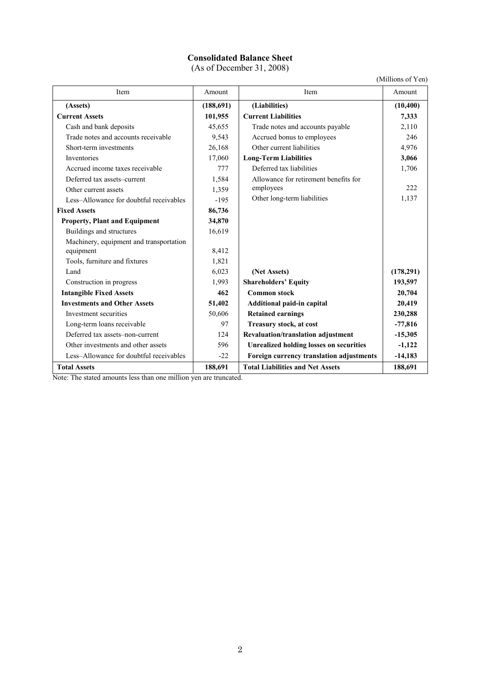# **Consolidated Balance Sheet**

(As of December 31, 2008)

(Millions of Yen)

| Item                                    | Amount     | Item                                           | $\frac{1}{1}$<br>Amount |
|-----------------------------------------|------------|------------------------------------------------|-------------------------|
| (Assets)                                | (188, 691) | (Liabilities)                                  | (10, 400)               |
| <b>Current Assets</b>                   | 101,955    | <b>Current Liabilities</b>                     | 7,333                   |
| Cash and bank deposits                  | 45,655     | Trade notes and accounts payable               | 2,110                   |
| Trade notes and accounts receivable     | 9,543      | Accrued bonus to employees                     | 246                     |
| Short-term investments                  | 26,168     | Other current liabilities                      | 4,976                   |
| Inventories                             | 17,060     | <b>Long-Term Liabilities</b>                   | 3,066                   |
| Accrued income taxes receivable         | 777        | Deferred tax liabilities                       | 1,706                   |
| Deferred tax assets-current             | 1,584      | Allowance for retirement benefits for          |                         |
| Other current assets                    | 1,359      | employees                                      | 222                     |
| Less-Allowance for doubtful receivables | $-195$     | Other long-term liabilities                    | 1,137                   |
| <b>Fixed Assets</b>                     | 86,736     |                                                |                         |
| <b>Property, Plant and Equipment</b>    | 34,870     |                                                |                         |
| Buildings and structures                | 16,619     |                                                |                         |
| Machinery, equipment and transportation |            |                                                |                         |
| equipment                               | 8,412      |                                                |                         |
| Tools, furniture and fixtures           | 1,821      |                                                |                         |
| Land                                    | 6,023      | (Net Assets)                                   | (178,291)               |
| Construction in progress                | 1,993      | <b>Shareholders' Equity</b>                    | 193,597                 |
| <b>Intangible Fixed Assets</b>          | 462        | <b>Common stock</b>                            | 20,704                  |
| <b>Investments and Other Assets</b>     | 51,402     | Additional paid-in capital                     | 20,419                  |
| Investment securities                   | 50,606     | <b>Retained earnings</b>                       | 230,288                 |
| Long-term loans receivable              | 97         | Treasury stock, at cost                        | $-77,816$               |
| Deferred tax assets-non-current         | 124        | Revaluation/translation adjustment             | $-15,305$               |
| Other investments and other assets      | 596        | <b>Unrealized holding losses on securities</b> | $-1,122$                |
| Less-Allowance for doubtful receivables | $-22$      | Foreign currency translation adjustments       | $-14,183$               |
| <b>Total Assets</b>                     | 188,691    | <b>Total Liabilities and Net Assets</b>        | 188,691                 |

Note: The stated amounts less than one million yen are truncated.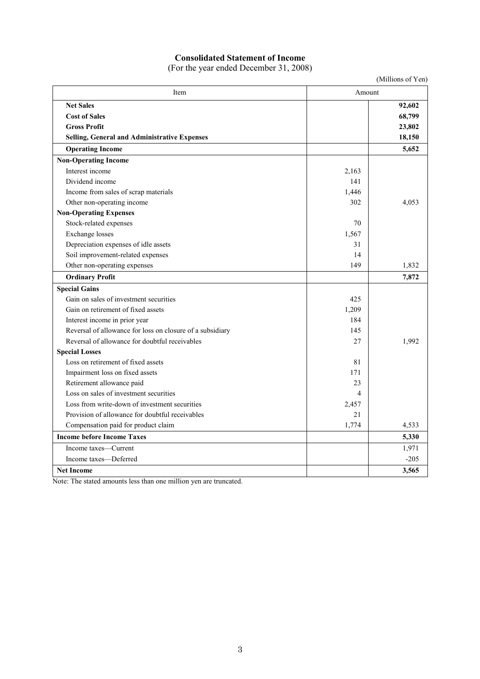# **Consolidated Statement of Income**

(For the year ended December 31, 2008)

|                                                           |        | (Millions of Yen) |
|-----------------------------------------------------------|--------|-------------------|
| Item                                                      | Amount |                   |
| <b>Net Sales</b>                                          |        | 92,602            |
| <b>Cost of Sales</b>                                      |        | 68,799            |
| <b>Gross Profit</b>                                       |        | 23,802            |
| <b>Selling, General and Administrative Expenses</b>       |        | 18,150            |
| <b>Operating Income</b>                                   |        | 5,652             |
| <b>Non-Operating Income</b>                               |        |                   |
| Interest income                                           | 2,163  |                   |
| Dividend income                                           | 141    |                   |
| Income from sales of scrap materials                      | 1,446  |                   |
| Other non-operating income                                | 302    | 4,053             |
| <b>Non-Operating Expenses</b>                             |        |                   |
| Stock-related expenses                                    | 70     |                   |
| <b>Exchange</b> losses                                    | 1,567  |                   |
| Depreciation expenses of idle assets                      | 31     |                   |
| Soil improvement-related expenses                         | 14     |                   |
| Other non-operating expenses                              | 149    | 1,832             |
| <b>Ordinary Profit</b>                                    |        | 7,872             |
| <b>Special Gains</b>                                      |        |                   |
| Gain on sales of investment securities                    | 425    |                   |
| Gain on retirement of fixed assets                        | 1,209  |                   |
| Interest income in prior year                             | 184    |                   |
| Reversal of allowance for loss on closure of a subsidiary | 145    |                   |
| Reversal of allowance for doubtful receivables            | 27     | 1,992             |
| <b>Special Losses</b>                                     |        |                   |
| Loss on retirement of fixed assets                        | 81     |                   |
| Impairment loss on fixed assets                           | 171    |                   |
| Retirement allowance paid                                 | 23     |                   |
| Loss on sales of investment securities                    | 4      |                   |
| Loss from write-down of investment securities             | 2,457  |                   |
| Provision of allowance for doubtful receivables           | 21     |                   |
| Compensation paid for product claim                       | 1,774  | 4,533             |
| <b>Income before Income Taxes</b>                         |        | 5,330             |
| Income taxes—Current                                      |        | 1,971             |
| Income taxes-Deferred                                     |        | $-205$            |
| <b>Net Income</b>                                         |        | 3,565             |

Note: The stated amounts less than one million yen are truncated.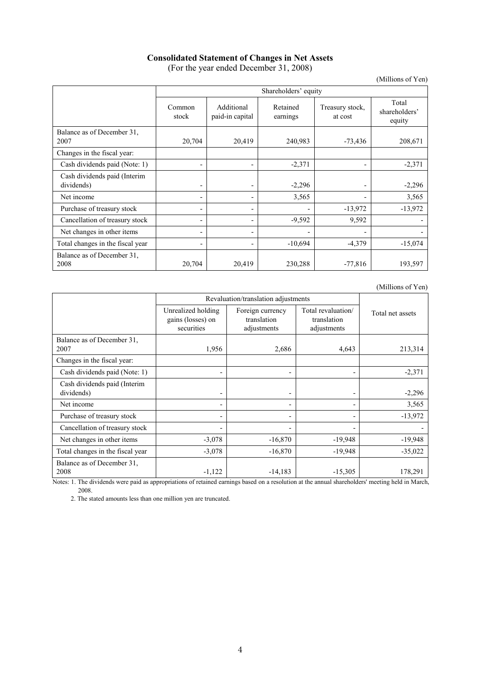## **Consolidated Statement of Changes in Net Assets**  (For the year ended December 31, 2008)

(Millions of Yen)

|                                            | Shareholders' equity |                               |                      |                            |                                  |
|--------------------------------------------|----------------------|-------------------------------|----------------------|----------------------------|----------------------------------|
|                                            | Common<br>stock      | Additional<br>paid-in capital | Retained<br>earnings | Treasury stock,<br>at cost | Total<br>shareholders'<br>equity |
| Balance as of December 31,<br>2007         | 20,704               | 20,419                        | 240,983              | $-73,436$                  | 208,671                          |
| Changes in the fiscal year:                |                      |                               |                      |                            |                                  |
| Cash dividends paid (Note: 1)              |                      |                               | $-2,371$             | ٠                          | $-2,371$                         |
| Cash dividends paid (Interim<br>dividends) |                      |                               | $-2,296$             | -                          | $-2,296$                         |
| Net income                                 |                      |                               | 3,565                | $\blacksquare$             | 3,565                            |
| Purchase of treasury stock                 |                      | $\overline{\phantom{0}}$      |                      | $-13,972$                  | $-13,972$                        |
| Cancellation of treasury stock             |                      | -                             | $-9,592$             | 9,592                      |                                  |
| Net changes in other items                 |                      | -                             |                      | $\blacksquare$             |                                  |
| Total changes in the fiscal year           |                      |                               | $-10,694$            | $-4,379$                   | $-15,074$                        |
| Balance as of December 31.<br>2008         | 20,704               | 20,419                        | 230,288              | $-77,816$                  | 193,597                          |

(Millions of Yen)

|                                            | Revaluation/translation adjustments                   |                                                |                                                  |                  |
|--------------------------------------------|-------------------------------------------------------|------------------------------------------------|--------------------------------------------------|------------------|
|                                            | Unrealized holding<br>gains (losses) on<br>securities | Foreign currency<br>translation<br>adjustments | Total revaluation/<br>translation<br>adjustments | Total net assets |
| Balance as of December 31,<br>2007         | 1,956                                                 | 2,686                                          | 4,643                                            | 213,314          |
| Changes in the fiscal year:                |                                                       |                                                |                                                  |                  |
| Cash dividends paid (Note: 1)              | ۰                                                     |                                                | $\overline{\phantom{a}}$                         | $-2,371$         |
| Cash dividends paid (Interim<br>dividends) |                                                       |                                                |                                                  | $-2,296$         |
| Net income                                 | -                                                     | -                                              | $\overline{\phantom{a}}$                         | 3,565            |
| Purchase of treasury stock                 |                                                       |                                                | $\overline{\phantom{a}}$                         | $-13,972$        |
| Cancellation of treasury stock             |                                                       |                                                |                                                  |                  |
| Net changes in other items                 | $-3,078$                                              | $-16,870$                                      | $-19,948$                                        | $-19,948$        |
| Total changes in the fiscal year           | $-3,078$                                              | $-16,870$                                      | $-19,948$                                        | $-35,022$        |
| Balance as of December 31.<br>2008         | $-1,122$                                              | $-14,183$                                      | $-15,305$                                        | 178,291          |

Notes: 1. The dividends were paid as appropriations of retained earnings based on a resolution at the annual shareholders' meeting held in March, 2008.

2. The stated amounts less than one million yen are truncated.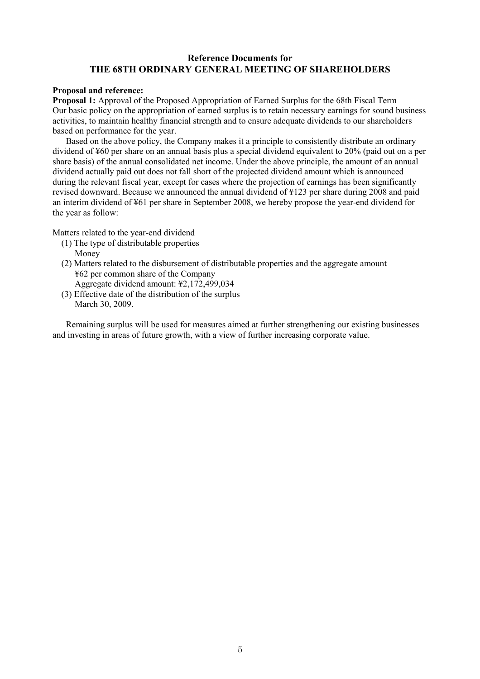# **Reference Documents for THE 68TH ORDINARY GENERAL MEETING OF SHAREHOLDERS**

## **Proposal and reference:**

**Proposal 1:** Approval of the Proposed Appropriation of Earned Surplus for the 68th Fiscal Term Our basic policy on the appropriation of earned surplus is to retain necessary earnings for sound business activities, to maintain healthy financial strength and to ensure adequate dividends to our shareholders based on performance for the year.

Based on the above policy, the Company makes it a principle to consistently distribute an ordinary dividend of ¥60 per share on an annual basis plus a special dividend equivalent to 20% (paid out on a per share basis) of the annual consolidated net income. Under the above principle, the amount of an annual dividend actually paid out does not fall short of the projected dividend amount which is announced during the relevant fiscal year, except for cases where the projection of earnings has been significantly revised downward. Because we announced the annual dividend of ¥123 per share during 2008 and paid an interim dividend of ¥61 per share in September 2008, we hereby propose the year-end dividend for the year as follow:

Matters related to the year-end dividend

- (1) The type of distributable properties Money
- (2) Matters related to the disbursement of distributable properties and the aggregate amount ¥62 per common share of the Company
- Aggregate dividend amount: ¥2,172,499,034 (3) Effective date of the distribution of the surplus March 30, 2009.

Remaining surplus will be used for measures aimed at further strengthening our existing businesses and investing in areas of future growth, with a view of further increasing corporate value.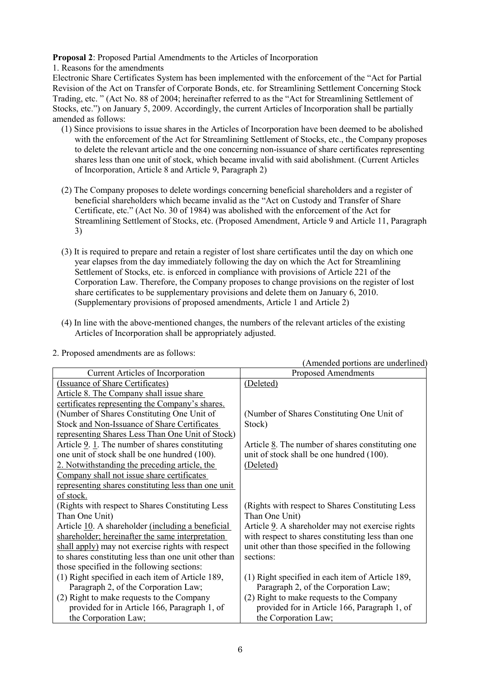**Proposal 2**: Proposed Partial Amendments to the Articles of Incorporation

1. Reasons for the amendments

Electronic Share Certificates System has been implemented with the enforcement of the "Act for Partial Revision of the Act on Transfer of Corporate Bonds, etc. for Streamlining Settlement Concerning Stock Trading, etc. " (Act No. 88 of 2004; hereinafter referred to as the "Act for Streamlining Settlement of Stocks, etc.") on January 5, 2009. Accordingly, the current Articles of Incorporation shall be partially amended as follows:

- (1) Since provisions to issue shares in the Articles of Incorporation have been deemed to be abolished with the enforcement of the Act for Streamlining Settlement of Stocks, etc., the Company proposes to delete the relevant article and the one concerning non-issuance of share certificates representing shares less than one unit of stock, which became invalid with said abolishment. (Current Articles of Incorporation, Article 8 and Article 9, Paragraph 2)
- (2) The Company proposes to delete wordings concerning beneficial shareholders and a register of beneficial shareholders which became invalid as the "Act on Custody and Transfer of Share Certificate, etc." (Act No. 30 of 1984) was abolished with the enforcement of the Act for Streamlining Settlement of Stocks, etc. (Proposed Amendment, Article 9 and Article 11, Paragraph 3)
- (3) It is required to prepare and retain a register of lost share certificates until the day on which one year elapses from the day immediately following the day on which the Act for Streamlining Settlement of Stocks, etc. is enforced in compliance with provisions of Article 221 of the Corporation Law. Therefore, the Company proposes to change provisions on the register of lost share certificates to be supplementary provisions and delete them on January 6, 2010. (Supplementary provisions of proposed amendments, Article 1 and Article 2)
- (4) In line with the above-mentioned changes, the numbers of the relevant articles of the existing Articles of Incorporation shall be appropriately adjusted.

|                                                      | (Amended portions are underlined)                               |
|------------------------------------------------------|-----------------------------------------------------------------|
| Current Articles of Incorporation                    | <b>Proposed Amendments</b>                                      |
| (Issuance of Share Certificates)                     | (Deleted)                                                       |
| Article 8. The Company shall issue share             |                                                                 |
| certificates representing the Company's shares.      |                                                                 |
| (Number of Shares Constituting One Unit of           | (Number of Shares Constituting One Unit of                      |
| Stock and Non-Issuance of Share Certificates         | Stock)                                                          |
| representing Shares Less Than One Unit of Stock)     |                                                                 |
| Article $9.1$ . The number of shares constituting    | Article $\underline{8}$ . The number of shares constituting one |
| one unit of stock shall be one hundred (100).        | unit of stock shall be one hundred (100).                       |
| 2. Notwithstanding the preceding article, the        | (Deleted)                                                       |
| Company shall not issue share certificates           |                                                                 |
| representing shares constituting less than one unit  |                                                                 |
| of stock.                                            |                                                                 |
| (Rights with respect to Shares Constituting Less)    | (Rights with respect to Shares Constituting Less)               |
| Than One Unit)                                       | Than One Unit)                                                  |
| Article 10. A shareholder (including a beneficial    | Article 9. A shareholder may not exercise rights                |
| shareholder; hereinafter the same interpretation     | with respect to shares constituting less than one               |
| shall apply) may not exercise rights with respect    | unit other than those specified in the following                |
| to shares constituting less than one unit other than | sections:                                                       |
| those specified in the following sections:           |                                                                 |
| (1) Right specified in each item of Article 189,     | (1) Right specified in each item of Article 189,                |
| Paragraph 2, of the Corporation Law;                 | Paragraph 2, of the Corporation Law;                            |
| (2) Right to make requests to the Company            | (2) Right to make requests to the Company                       |
| provided for in Article 166, Paragraph 1, of         | provided for in Article 166, Paragraph 1, of                    |
| the Corporation Law;                                 | the Corporation Law;                                            |

2. Proposed amendments are as follows: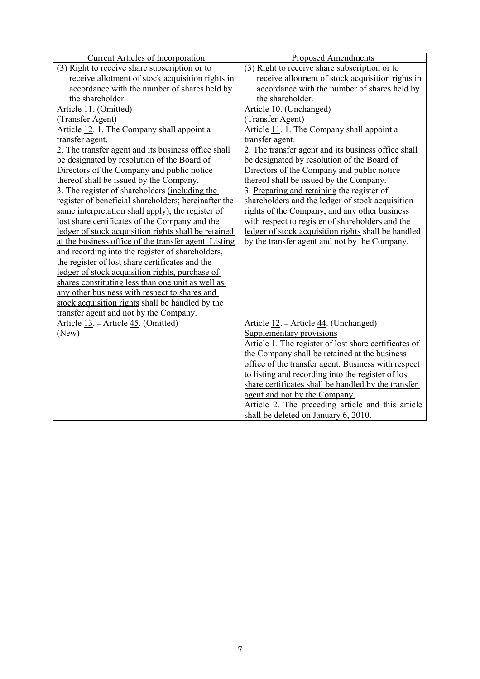| Current Articles of Incorporation                     | <b>Proposed Amendments</b>                            |
|-------------------------------------------------------|-------------------------------------------------------|
| (3) Right to receive share subscription or to         | (3) Right to receive share subscription or to         |
| receive allotment of stock acquisition rights in      | receive allotment of stock acquisition rights in      |
| accordance with the number of shares held by          | accordance with the number of shares held by          |
| the shareholder.                                      | the shareholder.                                      |
| Article 11. (Omitted)                                 | Article 10. (Unchanged)                               |
| (Transfer Agent)                                      | (Transfer Agent)                                      |
| Article 12. 1. The Company shall appoint a            | Article 11. 1. The Company shall appoint a            |
| transfer agent.                                       | transfer agent.                                       |
| 2. The transfer agent and its business office shall   | 2. The transfer agent and its business office shall   |
| be designated by resolution of the Board of           | be designated by resolution of the Board of           |
| Directors of the Company and public notice            | Directors of the Company and public notice            |
| thereof shall be issued by the Company.               | thereof shall be issued by the Company.               |
| 3. The register of shareholders (including the        | 3. Preparing and retaining the register of            |
| register of beneficial shareholders; hereinafter the  | shareholders and the ledger of stock acquisition      |
| same interpretation shall apply), the register of     | rights of the Company, and any other business         |
| lost share certificates of the Company and the        | with respect to register of shareholders and the      |
| ledger of stock acquisition rights shall be retained  | ledger of stock acquisition rights shall be handled   |
| at the business office of the transfer agent. Listing | by the transfer agent and not by the Company.         |
| and recording into the register of shareholders,      |                                                       |
| the register of lost share certificates and the       |                                                       |
| ledger of stock acquisition rights, purchase of       |                                                       |
| shares constituting less than one unit as well as     |                                                       |
| any other business with respect to shares and         |                                                       |
| stock acquisition rights shall be handled by the      |                                                       |
| transfer agent and not by the Company.                |                                                       |
| Article 13. – Article 45. (Omitted)                   | Article 12. – Article 44. (Unchanged)                 |
| (New)                                                 | Supplementary provisions                              |
|                                                       | Article 1. The register of lost share certificates of |
|                                                       | the Company shall be retained at the business         |
|                                                       | office of the transfer agent. Business with respect   |
|                                                       | to listing and recording into the register of lost    |
|                                                       | share certificates shall be handled by the transfer   |
|                                                       | agent and not by the Company.                         |
|                                                       | Article 2. The preceding article and this article     |
|                                                       | shall be deleted on January 6, 2010.                  |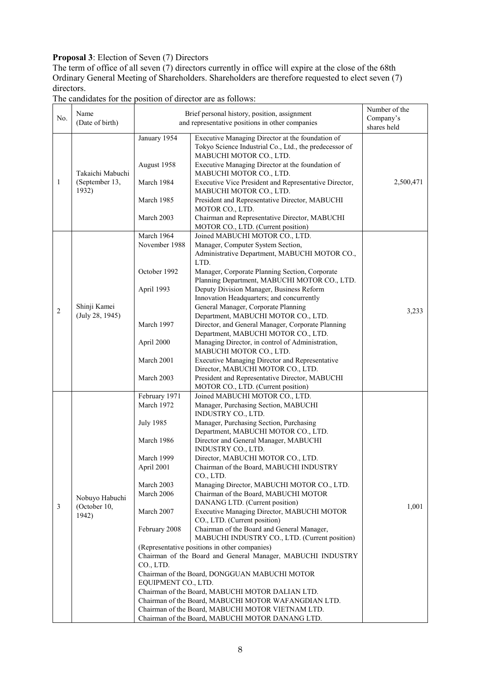# **Proposal 3**: Election of Seven (7) Directors

The term of office of all seven  $(7)$  directors currently in office will expire at the close of the 68th Ordinary General Meeting of Shareholders. Shareholders are therefore requested to elect seven (7) directors.

| No.            | Name<br>(Date of birth)                                     | Brief personal history, position, assignment<br>and representative positions in other companies |                                                                                                                                                                                                                                                                               | Number of the<br>Company's<br>shares held |
|----------------|-------------------------------------------------------------|-------------------------------------------------------------------------------------------------|-------------------------------------------------------------------------------------------------------------------------------------------------------------------------------------------------------------------------------------------------------------------------------|-------------------------------------------|
|                | Takaichi Mabuchi<br>$\mathbf{1}$<br>(September 13,<br>1932) | January 1954<br>August 1958<br>March 1984                                                       | Executive Managing Director at the foundation of<br>Tokyo Science Industrial Co., Ltd., the predecessor of<br>MABUCHI MOTOR CO., LTD.<br>Executive Managing Director at the foundation of<br>MABUCHI MOTOR CO., LTD.<br>Executive Vice President and Representative Director, | 2,500,471                                 |
|                |                                                             | March 1985<br>March 2003                                                                        | MABUCHI MOTOR CO., LTD.<br>President and Representative Director, MABUCHI<br>MOTOR CO., LTD.<br>Chairman and Representative Director, MABUCHI                                                                                                                                 |                                           |
|                |                                                             |                                                                                                 | MOTOR CO., LTD. (Current position)                                                                                                                                                                                                                                            |                                           |
|                |                                                             | March 1964                                                                                      | Joined MABUCHI MOTOR CO., LTD.                                                                                                                                                                                                                                                |                                           |
|                |                                                             | November 1988                                                                                   | Manager, Computer System Section,<br>Administrative Department, MABUCHI MOTOR CO.,<br>LTD.                                                                                                                                                                                    |                                           |
|                |                                                             | October 1992                                                                                    | Manager, Corporate Planning Section, Corporate<br>Planning Department, MABUCHI MOTOR CO., LTD.                                                                                                                                                                                |                                           |
|                |                                                             | April 1993                                                                                      | Deputy Division Manager, Business Reform<br>Innovation Headquarters; and concurrently                                                                                                                                                                                         |                                           |
|                | Shinji Kamei                                                |                                                                                                 | General Manager, Corporate Planning                                                                                                                                                                                                                                           |                                           |
| $\overline{c}$ | (July 28, 1945)                                             |                                                                                                 | Department, MABUCHI MOTOR CO., LTD.                                                                                                                                                                                                                                           | 3,233                                     |
|                |                                                             | March 1997                                                                                      | Director, and General Manager, Corporate Planning                                                                                                                                                                                                                             |                                           |
|                |                                                             |                                                                                                 | Department, MABUCHI MOTOR CO., LTD.                                                                                                                                                                                                                                           |                                           |
|                |                                                             | April 2000                                                                                      | Managing Director, in control of Administration,                                                                                                                                                                                                                              |                                           |
|                |                                                             |                                                                                                 | MABUCHI MOTOR CO., LTD.                                                                                                                                                                                                                                                       |                                           |
|                |                                                             | March 2001                                                                                      | Executive Managing Director and Representative                                                                                                                                                                                                                                |                                           |
|                |                                                             | March 2003                                                                                      | Director, MABUCHI MOTOR CO., LTD.<br>President and Representative Director, MABUCHI                                                                                                                                                                                           |                                           |
|                |                                                             |                                                                                                 | MOTOR CO., LTD. (Current position)                                                                                                                                                                                                                                            |                                           |
|                |                                                             | February 1971                                                                                   | Joined MABUCHI MOTOR CO., LTD.                                                                                                                                                                                                                                                |                                           |
|                |                                                             | March 1972                                                                                      | Manager, Purchasing Section, MABUCHI<br>INDUSTRY CO., LTD.                                                                                                                                                                                                                    |                                           |
|                |                                                             | <b>July 1985</b>                                                                                | Manager, Purchasing Section, Purchasing<br>Department, MABUCHI MOTOR CO., LTD.                                                                                                                                                                                                |                                           |
|                |                                                             | March 1986                                                                                      | Director and General Manager, MABUCHI<br>INDUSTRY CO., LTD.                                                                                                                                                                                                                   |                                           |
|                |                                                             | March 1999                                                                                      | Director, MABUCHI MOTOR CO., LTD.                                                                                                                                                                                                                                             |                                           |
|                | Nobuyo Habuchi                                              | April 2001                                                                                      | Chairman of the Board, MABUCHI INDUSTRY<br>CO., LTD.                                                                                                                                                                                                                          |                                           |
|                |                                                             | March 2003                                                                                      | Managing Director, MABUCHI MOTOR CO., LTD.                                                                                                                                                                                                                                    |                                           |
|                |                                                             | March 2006                                                                                      | Chairman of the Board, MABUCHI MOTOR                                                                                                                                                                                                                                          |                                           |
| 3              | (October 10,                                                |                                                                                                 | DANANG LTD. (Current position)                                                                                                                                                                                                                                                | 1,001                                     |
|                | 1942)                                                       | March 2007                                                                                      | Executive Managing Director, MABUCHI MOTOR<br>CO., LTD. (Current position)                                                                                                                                                                                                    |                                           |
|                |                                                             | February 2008                                                                                   | Chairman of the Board and General Manager,<br>MABUCHI INDUSTRY CO., LTD. (Current position)                                                                                                                                                                                   |                                           |
|                |                                                             |                                                                                                 | (Representative positions in other companies)                                                                                                                                                                                                                                 |                                           |
|                |                                                             |                                                                                                 | Chairman of the Board and General Manager, MABUCHI INDUSTRY                                                                                                                                                                                                                   |                                           |
|                |                                                             | CO., LTD.                                                                                       |                                                                                                                                                                                                                                                                               |                                           |
|                |                                                             |                                                                                                 | Chairman of the Board, DONGGUAN MABUCHI MOTOR                                                                                                                                                                                                                                 |                                           |
|                |                                                             | EQUIPMENT CO., LTD.                                                                             | Chairman of the Board, MABUCHI MOTOR DALIAN LTD.                                                                                                                                                                                                                              |                                           |
|                |                                                             |                                                                                                 | Chairman of the Board, MABUCHI MOTOR WAFANGDIAN LTD.                                                                                                                                                                                                                          |                                           |
|                |                                                             |                                                                                                 | Chairman of the Board, MABUCHI MOTOR VIETNAM LTD.                                                                                                                                                                                                                             |                                           |
|                |                                                             |                                                                                                 | Chairman of the Board, MABUCHI MOTOR DANANG LTD.                                                                                                                                                                                                                              |                                           |

# The candidates for the position of director are as follows: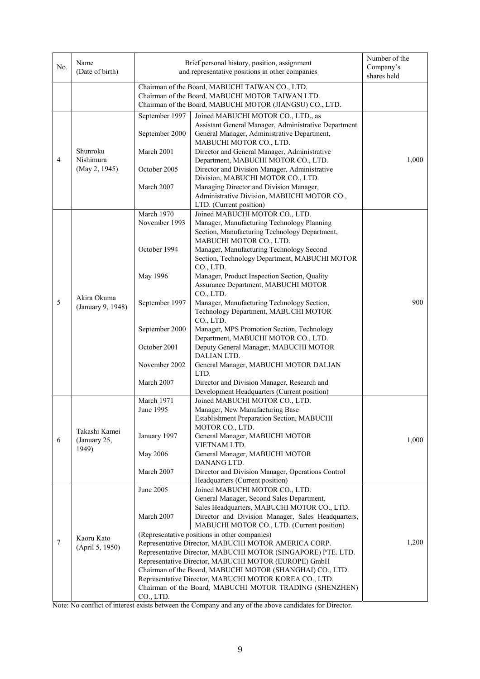| No.            | Name<br>(Date of birth)                | Brief personal history, position, assignment<br>and representative positions in other companies                                                                 |                                                                                                                                                 | Number of the<br>Company's<br>shares held |
|----------------|----------------------------------------|-----------------------------------------------------------------------------------------------------------------------------------------------------------------|-------------------------------------------------------------------------------------------------------------------------------------------------|-------------------------------------------|
|                |                                        | Chairman of the Board, MABUCHI TAIWAN CO., LTD.<br>Chairman of the Board, MABUCHI MOTOR TAIWAN LTD.<br>Chairman of the Board, MABUCHI MOTOR (JIANGSU) CO., LTD. |                                                                                                                                                 |                                           |
|                |                                        | September 1997                                                                                                                                                  | Joined MABUCHI MOTOR CO., LTD., as                                                                                                              |                                           |
|                |                                        | September 2000                                                                                                                                                  | Assistant General Manager, Administrative Department<br>General Manager, Administrative Department,<br>MABUCHI MOTOR CO., LTD.                  |                                           |
| $\overline{4}$ | Shunroku<br>Nishimura<br>(May 2, 1945) | March 2001                                                                                                                                                      | Director and General Manager, Administrative<br>Department, MABUCHI MOTOR CO., LTD.                                                             | 1,000                                     |
|                |                                        | October 2005                                                                                                                                                    | Director and Division Manager, Administrative<br>Division, MABUCHI MOTOR CO., LTD.                                                              |                                           |
|                |                                        | March 2007                                                                                                                                                      | Managing Director and Division Manager,<br>Administrative Division, MABUCHI MOTOR CO.,                                                          |                                           |
|                |                                        |                                                                                                                                                                 | LTD. (Current position)                                                                                                                         |                                           |
|                |                                        | March 1970<br>November 1993                                                                                                                                     | Joined MABUCHI MOTOR CO., LTD.<br>Manager, Manufacturing Technology Planning                                                                    |                                           |
|                |                                        |                                                                                                                                                                 | Section, Manufacturing Technology Department,                                                                                                   |                                           |
|                |                                        |                                                                                                                                                                 | MABUCHI MOTOR CO., LTD.                                                                                                                         |                                           |
|                |                                        | October 1994                                                                                                                                                    | Manager, Manufacturing Technology Second<br>Section, Technology Department, MABUCHI MOTOR<br>CO., LTD.                                          |                                           |
|                |                                        | May 1996                                                                                                                                                        | Manager, Product Inspection Section, Quality<br>Assurance Department, MABUCHI MOTOR<br>CO., LTD.                                                |                                           |
| $\sqrt{5}$     | Akira Okuma<br>(January 9, 1948)       | September 1997                                                                                                                                                  | Manager, Manufacturing Technology Section,<br>Technology Department, MABUCHI MOTOR                                                              | 900                                       |
|                |                                        | September 2000                                                                                                                                                  | CO., LTD.<br>Manager, MPS Promotion Section, Technology                                                                                         |                                           |
|                |                                        | October 2001                                                                                                                                                    | Department, MABUCHI MOTOR CO., LTD.<br>Deputy General Manager, MABUCHI MOTOR<br>DALIAN LTD.                                                     |                                           |
|                |                                        | November 2002                                                                                                                                                   | General Manager, MABUCHI MOTOR DALIAN<br>LTD.                                                                                                   |                                           |
|                |                                        | March 2007                                                                                                                                                      | Director and Division Manager, Research and<br>Development Headquarters (Current position)                                                      |                                           |
|                |                                        | March 1971                                                                                                                                                      | Joined MABUCHI MOTOR CO., LTD.                                                                                                                  |                                           |
|                |                                        | June 1995                                                                                                                                                       | Manager, New Manufacturing Base<br>Establishment Preparation Section, MABUCHI                                                                   |                                           |
|                | Takashi Kamei                          |                                                                                                                                                                 | MOTOR CO., LTD.                                                                                                                                 |                                           |
| 6              | (January 25,<br>1949)                  | January 1997                                                                                                                                                    | General Manager, MABUCHI MOTOR<br>VIETNAM LTD.                                                                                                  | 1,000                                     |
|                |                                        | May 2006                                                                                                                                                        | General Manager, MABUCHI MOTOR<br>DANANG LTD.                                                                                                   |                                           |
|                |                                        | March 2007                                                                                                                                                      | Director and Division Manager, Operations Control<br>Headquarters (Current position)                                                            |                                           |
|                |                                        | June 2005                                                                                                                                                       | Joined MABUCHI MOTOR CO., LTD.                                                                                                                  |                                           |
|                | Kaoru Kato<br>(April 5, 1950)          |                                                                                                                                                                 | General Manager, Second Sales Department,                                                                                                       |                                           |
|                |                                        | March 2007                                                                                                                                                      | Sales Headquarters, MABUCHI MOTOR CO., LTD.<br>Director and Division Manager, Sales Headquarters,<br>MABUCHI MOTOR CO., LTD. (Current position) |                                           |
|                |                                        |                                                                                                                                                                 | (Representative positions in other companies)                                                                                                   |                                           |
| 7              |                                        | Representative Director, MABUCHI MOTOR AMERICA CORP.                                                                                                            |                                                                                                                                                 | 1,200                                     |
|                |                                        | Representative Director, MABUCHI MOTOR (SINGAPORE) PTE. LTD.<br>Representative Director, MABUCHI MOTOR (EUROPE) GmbH                                            |                                                                                                                                                 |                                           |
|                |                                        |                                                                                                                                                                 |                                                                                                                                                 |                                           |
|                |                                        | Chairman of the Board, MABUCHI MOTOR (SHANGHAI) CO., LTD.<br>Representative Director, MABUCHI MOTOR KOREA CO., LTD.                                             |                                                                                                                                                 |                                           |
|                |                                        |                                                                                                                                                                 | Chairman of the Board, MABUCHI MOTOR TRADING (SHENZHEN)                                                                                         |                                           |
|                |                                        | CO., LTD.                                                                                                                                                       |                                                                                                                                                 |                                           |

Note: No conflict of interest exists between the Company and any of the above candidates for Director.